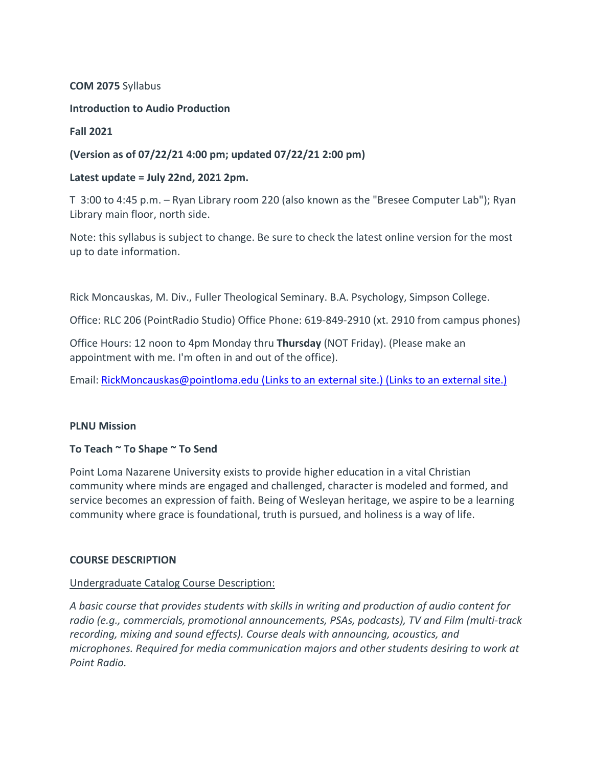**COM 2075** Syllabus

**Introduction to Audio Production**

**Fall 2021**

## **(Version as of 07/22/21 4:00 pm; updated 07/22/21 2:00 pm)**

### **Latest update = July 22nd, 2021 2pm.**

T 3:00 to 4:45 p.m. – Ryan Library room 220 (also known as the "Bresee Computer Lab"); Ryan Library main floor, north side.

Note: this syllabus is subject to change. Be sure to check the latest online version for the most up to date information.

Rick Moncauskas, M. Div., Fuller Theological Seminary. B.A. Psychology, Simpson College.

Office: RLC 206 (PointRadio Studio) Office Phone: 619-849-2910 (xt. 2910 from campus phones)

Office Hours: 12 noon to 4pm Monday thru **Thursday** (NOT Friday). (Please make an appointment with me. I'm often in and out of the office).

Email: [RickMoncauskas@pointloma.edu](https://mail.google.com/mail/?view=cm&fs=1&tf=1&to=RickMoncauskas@pointloma.edu) (Links to an external site.) (Links to an external site.)

### **PLNU Mission**

## **To Teach ~ To Shape ~ To Send**

Point Loma Nazarene University exists to provide higher education in a vital Christian community where minds are engaged and challenged, character is modeled and formed, and service becomes an expression of faith. Being of Wesleyan heritage, we aspire to be a learning community where grace is foundational, truth is pursued, and holiness is a way of life.

### **COURSE DESCRIPTION**

## Undergraduate Catalog Course Description:

*A basic course that provides students with skills in writing and production of audio content for radio (e.g., commercials, promotional announcements, PSAs, podcasts), TV and Film (multi-track recording, mixing and sound effects). Course deals with announcing, acoustics, and microphones. Required for media communication majors and other students desiring to work at Point Radio.*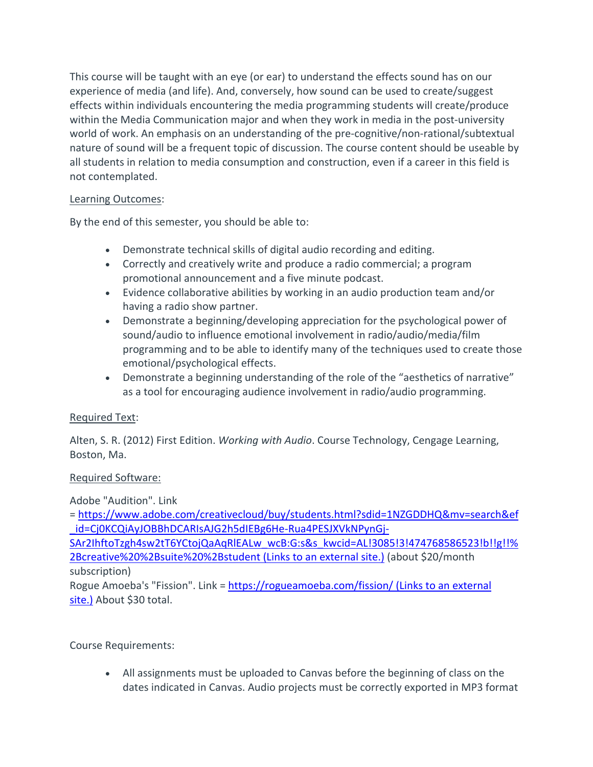This course will be taught with an eye (or ear) to understand the effects sound has on our experience of media (and life). And, conversely, how sound can be used to create/suggest effects within individuals encountering the media programming students will create/produce within the Media Communication major and when they work in media in the post-university world of work. An emphasis on an understanding of the pre-cognitive/non-rational/subtextual nature of sound will be a frequent topic of discussion. The course content should be useable by all students in relation to media consumption and construction, even if a career in this field is not contemplated.

# Learning Outcomes:

By the end of this semester, you should be able to:

- Demonstrate technical skills of digital audio recording and editing.
- Correctly and creatively write and produce a radio commercial; a program promotional announcement and a five minute podcast.
- Evidence collaborative abilities by working in an audio production team and/or having a radio show partner.
- Demonstrate a beginning/developing appreciation for the psychological power of sound/audio to influence emotional involvement in radio/audio/media/film programming and to be able to identify many of the techniques used to create those emotional/psychological effects.
- Demonstrate a beginning understanding of the role of the "aesthetics of narrative" as a tool for encouraging audience involvement in radio/audio programming.

# Required Text:

Alten, S. R. (2012) First Edition. *Working with Audio*. Course Technology, Cengage Learning, Boston, Ma.

# Required Software:

Adobe "Audition". Link

= [https://www.adobe.com/creativecloud/buy/students.html?sdid=1NZGDDHQ&mv=search&ef](https://www.adobe.com/creativecloud/buy/students.html?sdid=1NZGDDHQ&mv=search&ef_id=Cj0KCQiAyJOBBhDCARIsAJG2h5dIEBg6He-Rua4PESJXVkNPynGj-SAr2IhftoTzgh4sw2tT6YCtojQaAqRlEALw_wcB:G:s&s_kwcid=AL!3085!3!474768586523!b!!g!!%2Bcreative%20%2Bsuite%20%2Bstudent) [\\_id=Cj0KCQiAyJOBBhDCARIsAJG2h5dIEBg6He-Rua4PESJXVkNPynGj-](https://www.adobe.com/creativecloud/buy/students.html?sdid=1NZGDDHQ&mv=search&ef_id=Cj0KCQiAyJOBBhDCARIsAJG2h5dIEBg6He-Rua4PESJXVkNPynGj-SAr2IhftoTzgh4sw2tT6YCtojQaAqRlEALw_wcB:G:s&s_kwcid=AL!3085!3!474768586523!b!!g!!%2Bcreative%20%2Bsuite%20%2Bstudent)

[SAr2IhftoTzgh4sw2tT6YCtojQaAqRlEALw\\_wcB:G:s&s\\_kwcid=AL!3085!3!474768586523!b!!g!!%](https://www.adobe.com/creativecloud/buy/students.html?sdid=1NZGDDHQ&mv=search&ef_id=Cj0KCQiAyJOBBhDCARIsAJG2h5dIEBg6He-Rua4PESJXVkNPynGj-SAr2IhftoTzgh4sw2tT6YCtojQaAqRlEALw_wcB:G:s&s_kwcid=AL!3085!3!474768586523!b!!g!!%2Bcreative%20%2Bsuite%20%2Bstudent) [2Bcreative%20%2Bsuite%20%2Bstudent](https://www.adobe.com/creativecloud/buy/students.html?sdid=1NZGDDHQ&mv=search&ef_id=Cj0KCQiAyJOBBhDCARIsAJG2h5dIEBg6He-Rua4PESJXVkNPynGj-SAr2IhftoTzgh4sw2tT6YCtojQaAqRlEALw_wcB:G:s&s_kwcid=AL!3085!3!474768586523!b!!g!!%2Bcreative%20%2Bsuite%20%2Bstudent) (Links to an external site.) (about \$20/month

subscription)

Rogue Amoeba's "Fission". Link = <https://rogueamoeba.com/fission/> (Links to an external [site.\)](https://rogueamoeba.com/fission/) About \$30 total.

# Course Requirements:

• All assignments must be uploaded to Canvas before the beginning of class on the dates indicated in Canvas. Audio projects must be correctly exported in MP3 format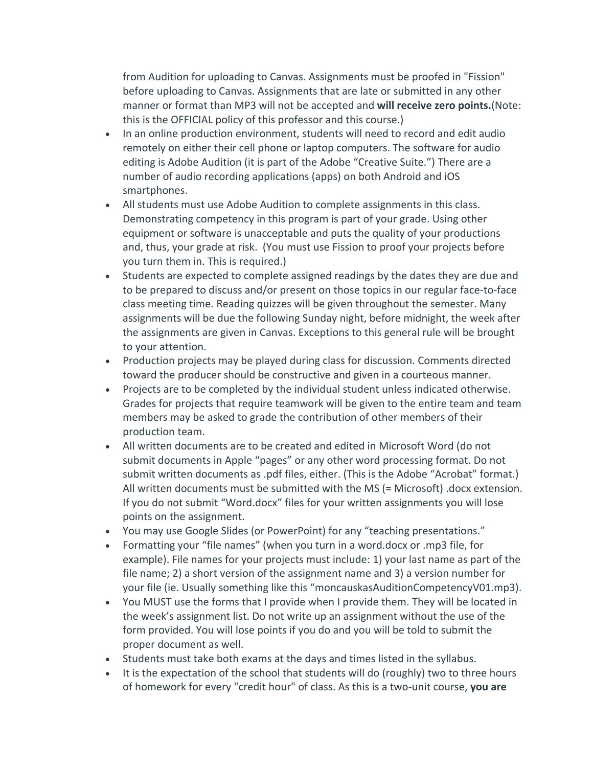from Audition for uploading to Canvas. Assignments must be proofed in "Fission" before uploading to Canvas. Assignments that are late or submitted in any other manner or format than MP3 will not be accepted and **will receive zero points.**(Note: this is the OFFICIAL policy of this professor and this course.)

- In an online production environment, students will need to record and edit audio remotely on either their cell phone or laptop computers. The software for audio editing is Adobe Audition (it is part of the Adobe "Creative Suite.") There are a number of audio recording applications (apps) on both Android and iOS smartphones.
- All students must use Adobe Audition to complete assignments in this class. Demonstrating competency in this program is part of your grade. Using other equipment or software is unacceptable and puts the quality of your productions and, thus, your grade at risk. (You must use Fission to proof your projects before you turn them in. This is required.)
- Students are expected to complete assigned readings by the dates they are due and to be prepared to discuss and/or present on those topics in our regular face-to-face class meeting time. Reading quizzes will be given throughout the semester. Many assignments will be due the following Sunday night, before midnight, the week after the assignments are given in Canvas. Exceptions to this general rule will be brought to your attention.
- Production projects may be played during class for discussion. Comments directed toward the producer should be constructive and given in a courteous manner.
- Projects are to be completed by the individual student unless indicated otherwise. Grades for projects that require teamwork will be given to the entire team and team members may be asked to grade the contribution of other members of their production team.
- All written documents are to be created and edited in Microsoft Word (do not submit documents in Apple "pages" or any other word processing format. Do not submit written documents as .pdf files, either. (This is the Adobe "Acrobat" format.) All written documents must be submitted with the MS (= Microsoft) .docx extension. If you do not submit "Word.docx" files for your written assignments you will lose points on the assignment.
- You may use Google Slides (or PowerPoint) for any "teaching presentations."
- Formatting your "file names" (when you turn in a word.docx or .mp3 file, for example). File names for your projects must include: 1) your last name as part of the file name; 2) a short version of the assignment name and 3) a version number for your file (ie. Usually something like this "moncauskasAuditionCompetencyV01.mp3).
- You MUST use the forms that I provide when I provide them. They will be located in the week's assignment list. Do not write up an assignment without the use of the form provided. You will lose points if you do and you will be told to submit the proper document as well.
- Students must take both exams at the days and times listed in the syllabus.
- It is the expectation of the school that students will do (roughly) two to three hours of homework for every "credit hour" of class. As this is a two-unit course, **you are**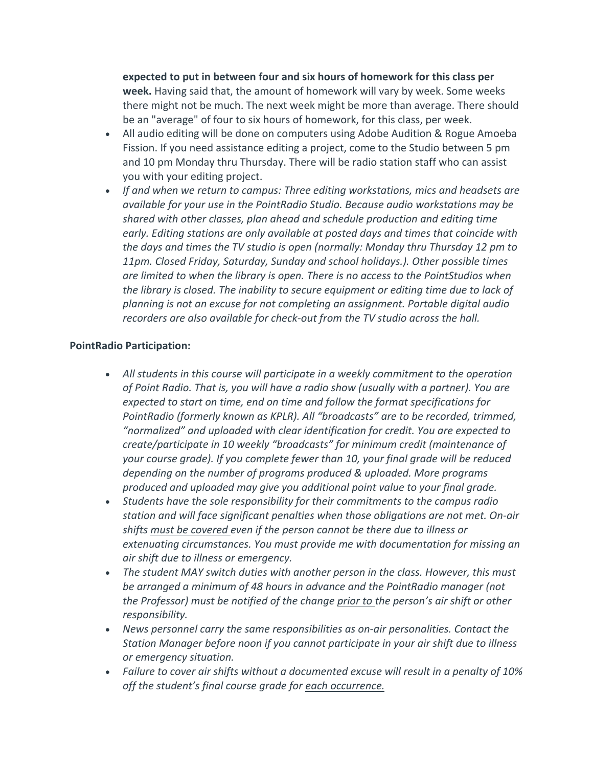**expected to put in between four and six hours of homework for this class per week.** Having said that, the amount of homework will vary by week. Some weeks there might not be much. The next week might be more than average. There should be an "average" of four to six hours of homework, for this class, per week.

- All audio editing will be done on computers using Adobe Audition & Rogue Amoeba Fission. If you need assistance editing a project, come to the Studio between 5 pm and 10 pm Monday thru Thursday. There will be radio station staff who can assist you with your editing project.
- *If and when we return to campus: Three editing workstations, mics and headsets are available for your use in the PointRadio Studio. Because audio workstations may be shared with other classes, plan ahead and schedule production and editing time early. Editing stations are only available at posted days and times that coincide with the days and times the TV studio is open (normally: Monday thru Thursday 12 pm to 11pm. Closed Friday, Saturday, Sunday and school holidays.). Other possible times are limited to when the library is open. There is no access to the PointStudios when the library is closed. The inability to secure equipment or editing time due to lack of planning is not an excuse for not completing an assignment. Portable digital audio recorders are also available for check-out from the TV studio across the hall.*

## **PointRadio Participation:**

- *All students in this course will participate in a weekly commitment to the operation of Point Radio. That is, you will have a radio show (usually with a partner). You are expected to start on time, end on time and follow the format specifications for PointRadio (formerly known as KPLR). All "broadcasts" are to be recorded, trimmed, "normalized" and uploaded with clear identification for credit. You are expected to create/participate in 10 weekly "broadcasts" for minimum credit (maintenance of your course grade). If you complete fewer than 10, your final grade will be reduced depending on the number of programs produced & uploaded. More programs produced and uploaded may give you additional point value to your final grade.*
- *Students have the sole responsibility for their commitments to the campus radio station and will face significant penalties when those obligations are not met. On-air shifts must be covered even if the person cannot be there due to illness or extenuating circumstances. You must provide me with documentation for missing an air shift due to illness or emergency.*
- *The student MAY switch duties with another person in the class. However, this must be arranged a minimum of 48 hours in advance and the PointRadio manager (not the Professor) must be notified of the change prior to the person's air shift or other responsibility.*
- *News personnel carry the same responsibilities as on-air personalities. Contact the Station Manager before noon if you cannot participate in your air shift due to illness or emergency situation.*
- *Failure to cover air shifts without a documented excuse will result in a penalty of 10% off the student's final course grade for each occurrence.*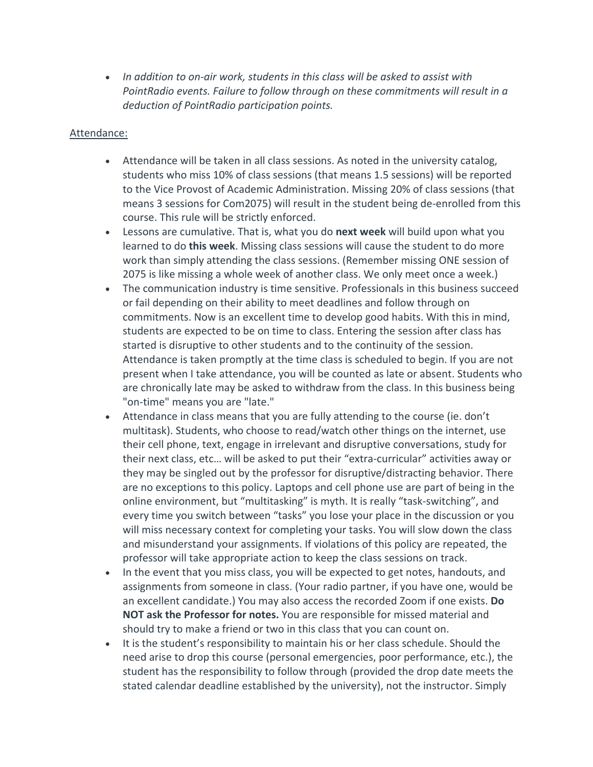• *In addition to on-air work, students in this class will be asked to assist with PointRadio events. Failure to follow through on these commitments will result in a deduction of PointRadio participation points.*

# Attendance:

- Attendance will be taken in all class sessions. As noted in the university catalog, students who miss 10% of class sessions (that means 1.5 sessions) will be reported to the Vice Provost of Academic Administration. Missing 20% of class sessions (that means 3 sessions for Com2075) will result in the student being de-enrolled from this course. This rule will be strictly enforced.
- Lessons are cumulative. That is, what you do **next week** will build upon what you learned to do **this week**. Missing class sessions will cause the student to do more work than simply attending the class sessions. (Remember missing ONE session of 2075 is like missing a whole week of another class. We only meet once a week.)
- The communication industry is time sensitive. Professionals in this business succeed or fail depending on their ability to meet deadlines and follow through on commitments. Now is an excellent time to develop good habits. With this in mind, students are expected to be on time to class. Entering the session after class has started is disruptive to other students and to the continuity of the session. Attendance is taken promptly at the time class is scheduled to begin. If you are not present when I take attendance, you will be counted as late or absent. Students who are chronically late may be asked to withdraw from the class. In this business being "on-time" means you are "late."
- Attendance in class means that you are fully attending to the course (ie. don't multitask). Students, who choose to read/watch other things on the internet, use their cell phone, text, engage in irrelevant and disruptive conversations, study for their next class, etc… will be asked to put their "extra-curricular" activities away or they may be singled out by the professor for disruptive/distracting behavior. There are no exceptions to this policy. Laptops and cell phone use are part of being in the online environment, but "multitasking" is myth. It is really "task-switching", and every time you switch between "tasks" you lose your place in the discussion or you will miss necessary context for completing your tasks. You will slow down the class and misunderstand your assignments. If violations of this policy are repeated, the professor will take appropriate action to keep the class sessions on track.
- In the event that you miss class, you will be expected to get notes, handouts, and assignments from someone in class. (Your radio partner, if you have one, would be an excellent candidate.) You may also access the recorded Zoom if one exists. **Do NOT ask the Professor for notes.** You are responsible for missed material and should try to make a friend or two in this class that you can count on.
- It is the student's responsibility to maintain his or her class schedule. Should the need arise to drop this course (personal emergencies, poor performance, etc.), the student has the responsibility to follow through (provided the drop date meets the stated calendar deadline established by the university), not the instructor. Simply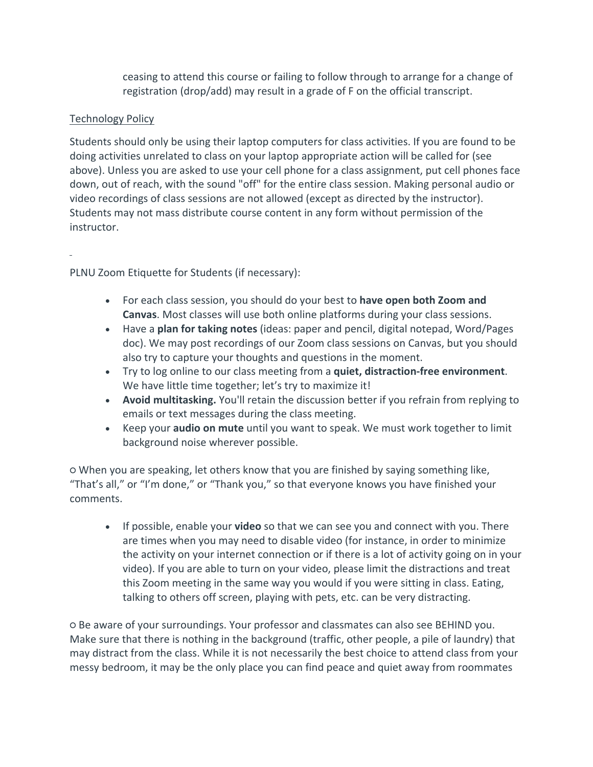ceasing to attend this course or failing to follow through to arrange for a change of registration (drop/add) may result in a grade of F on the official transcript.

# Technology Policy

Students should only be using their laptop computers for class activities. If you are found to be doing activities unrelated to class on your laptop appropriate action will be called for (see above). Unless you are asked to use your cell phone for a class assignment, put cell phones face down, out of reach, with the sound "off" for the entire class session. Making personal audio or video recordings of class sessions are not allowed (except as directed by the instructor). Students may not mass distribute course content in any form without permission of the instructor.

PLNU Zoom Etiquette for Students (if necessary):

- For each class session, you should do your best to **have open both Zoom and Canvas**. Most classes will use both online platforms during your class sessions.
- Have a **plan for taking notes** (ideas: paper and pencil, digital notepad, Word/Pages doc). We may post recordings of our Zoom class sessions on Canvas, but you should also try to capture your thoughts and questions in the moment.
- Try to log online to our class meeting from a **quiet, distraction-free environment**. We have little time together; let's try to maximize it!
- **Avoid multitasking.** You'll retain the discussion better if you refrain from replying to emails or text messages during the class meeting.
- Keep your **audio on mute** until you want to speak. We must work together to limit background noise wherever possible.

○ When you are speaking, let others know that you are finished by saying something like, "That's all," or "I'm done," or "Thank you," so that everyone knows you have finished your comments.

• If possible, enable your **video** so that we can see you and connect with you. There are times when you may need to disable video (for instance, in order to minimize the activity on your internet connection or if there is a lot of activity going on in your video). If you are able to turn on your video, please limit the distractions and treat this Zoom meeting in the same way you would if you were sitting in class. Eating, talking to others off screen, playing with pets, etc. can be very distracting.

○ Be aware of your surroundings. Your professor and classmates can also see BEHIND you. Make sure that there is nothing in the background (traffic, other people, a pile of laundry) that may distract from the class. While it is not necessarily the best choice to attend class from your messy bedroom, it may be the only place you can find peace and quiet away from roommates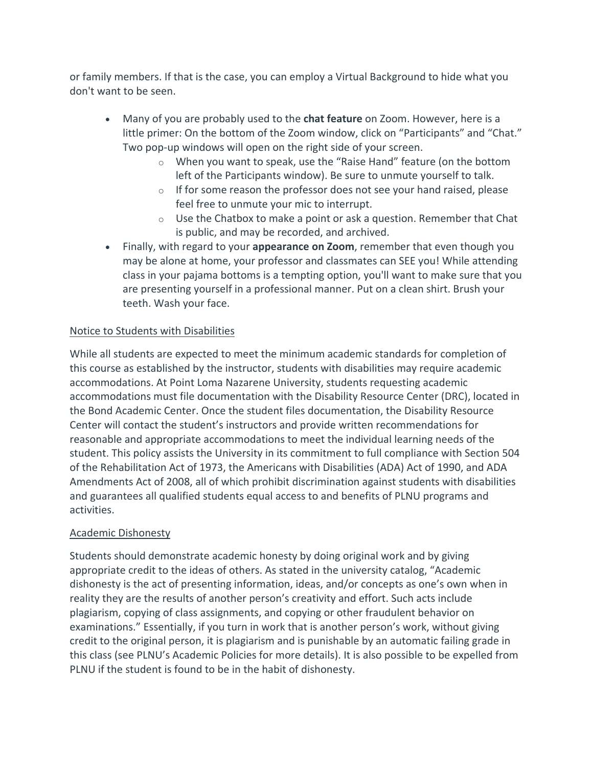or family members. If that is the case, you can employ a Virtual Background to hide what you don't want to be seen.

- Many of you are probably used to the **chat feature** on Zoom. However, here is a little primer: On the bottom of the Zoom window, click on "Participants" and "Chat." Two pop-up windows will open on the right side of your screen.
	- o When you want to speak, use the "Raise Hand" feature (on the bottom left of the Participants window). Be sure to unmute yourself to talk.
	- $\circ$  If for some reason the professor does not see your hand raised, please feel free to unmute your mic to interrupt.
	- o Use the Chatbox to make a point or ask a question. Remember that Chat is public, and may be recorded, and archived.
- Finally, with regard to your **appearance on Zoom**, remember that even though you may be alone at home, your professor and classmates can SEE you! While attending class in your pajama bottoms is a tempting option, you'll want to make sure that you are presenting yourself in a professional manner. Put on a clean shirt. Brush your teeth. Wash your face.

# Notice to Students with Disabilities

While all students are expected to meet the minimum academic standards for completion of this course as established by the instructor, students with disabilities may require academic accommodations. At Point Loma Nazarene University, students requesting academic accommodations must file documentation with the Disability Resource Center (DRC), located in the Bond Academic Center. Once the student files documentation, the Disability Resource Center will contact the student's instructors and provide written recommendations for reasonable and appropriate accommodations to meet the individual learning needs of the student. This policy assists the University in its commitment to full compliance with Section 504 of the Rehabilitation Act of 1973, the Americans with Disabilities (ADA) Act of 1990, and ADA Amendments Act of 2008, all of which prohibit discrimination against students with disabilities and guarantees all qualified students equal access to and benefits of PLNU programs and activities.

# Academic Dishonesty

Students should demonstrate academic honesty by doing original work and by giving appropriate credit to the ideas of others. As stated in the university catalog, "Academic dishonesty is the act of presenting information, ideas, and/or concepts as one's own when in reality they are the results of another person's creativity and effort. Such acts include plagiarism, copying of class assignments, and copying or other fraudulent behavior on examinations." Essentially, if you turn in work that is another person's work, without giving credit to the original person, it is plagiarism and is punishable by an automatic failing grade in this class (see PLNU's Academic Policies for more details). It is also possible to be expelled from PLNU if the student is found to be in the habit of dishonesty.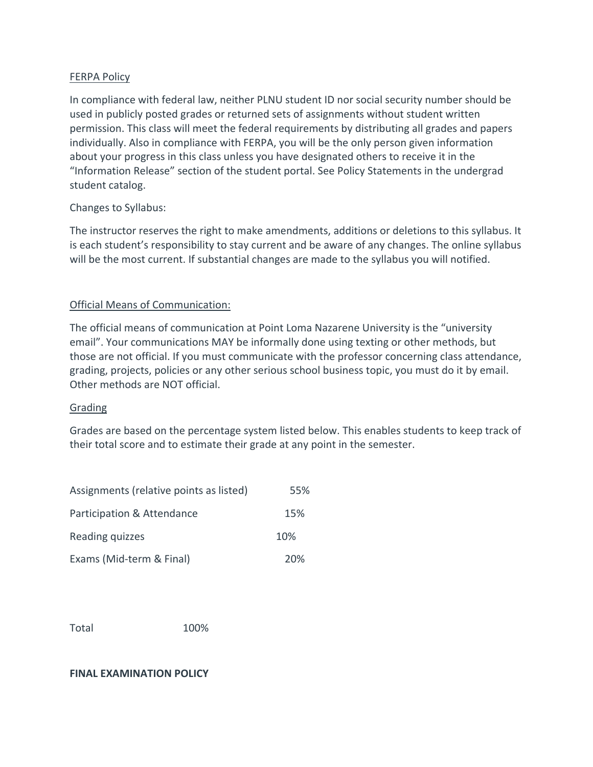## FERPA Policy

In compliance with federal law, neither PLNU student ID nor social security number should be used in publicly posted grades or returned sets of assignments without student written permission. This class will meet the federal requirements by distributing all grades and papers individually. Also in compliance with FERPA, you will be the only person given information about your progress in this class unless you have designated others to receive it in the "Information Release" section of the student portal. See Policy Statements in the undergrad student catalog.

### Changes to Syllabus:

The instructor reserves the right to make amendments, additions or deletions to this syllabus. It is each student's responsibility to stay current and be aware of any changes. The online syllabus will be the most current. If substantial changes are made to the syllabus you will notified.

## Official Means of Communication:

The official means of communication at Point Loma Nazarene University is the "university email". Your communications MAY be informally done using texting or other methods, but those are not official. If you must communicate with the professor concerning class attendance, grading, projects, policies or any other serious school business topic, you must do it by email. Other methods are NOT official.

### Grading

Grades are based on the percentage system listed below. This enables students to keep track of their total score and to estimate their grade at any point in the semester.

| Assignments (relative points as listed) | 55% |
|-----------------------------------------|-----|
| Participation & Attendance              | 15% |
| Reading quizzes                         | 10% |
| Exams (Mid-term & Final)                | 20% |

Total 100%

### **FINAL EXAMINATION POLICY**